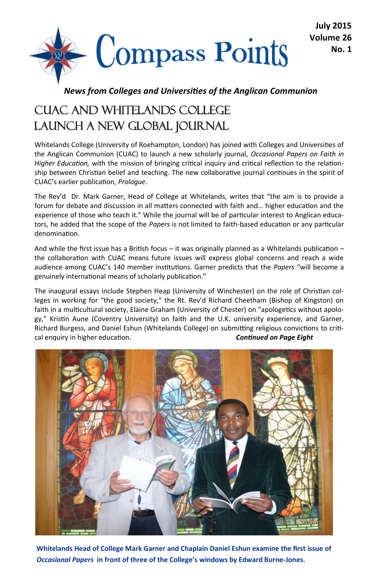

#### *News from Colleges and Universities of the Anglican Communion*

### CUAC And WHITELANDS COLLEGE LAUNCH A NEW GLOBAL JOURNAL

Whitelands College (University of Roehampton, London) has joined with Colleges and Universities of the Anglican Communion (CUAC) to launch a new scholarly journal, *Occasional Papers on Faith in Higher Education,* with the mission of bringing critical inquiry and critical reflection to the relationship between Christian belief and teaching. The new collaborative journal continues in the spirit of CUAC's earlier publication, *Prologue*.

The Rev'd Dr. Mark Garner, Head of College at Whitelands, writes that "the aim is to provide a forum for debate and discussion in all matters connected with faith and… higher education and the experience of those who teach it." While the journal will be of particular interest to Anglican educators, he added that the scope of the *Papers* is not limited to faith-based education or any particular denomination.

And while the first issue has a British focus – it was originally planned as a Whitelands publication – the collaboration with CUAC means future issues will express global concerns and reach a wide audience among CUAC's 140 member institutions. Garner predicts that the *Papers* "will become a genuinely international means of scholarly publication."

The inaugural essays include Stephen Heap (University of Winchester) on the role of Christian colleges in working for "the good society," the Rt. Rev'd Richard Cheetham (Bishop of Kingston) on faith in a multicultural society, Elaine Graham (University of Chester) on "apologetics without apology," Kristin Aune (Coventry University) on faith and the U.K. university experience, and Garner, Richard Burgess, and Daniel Eshun (Whitelands College) on submitting religious convictions to critical enquiry in higher education. *Continued on Page Eight*



**Whitelands Head of College Mark Garner and Chaplain Daniel Eshun examine the first issue of**  *Occasional Papers* **in front of three of the College's windows by Edward Burne-Jones.**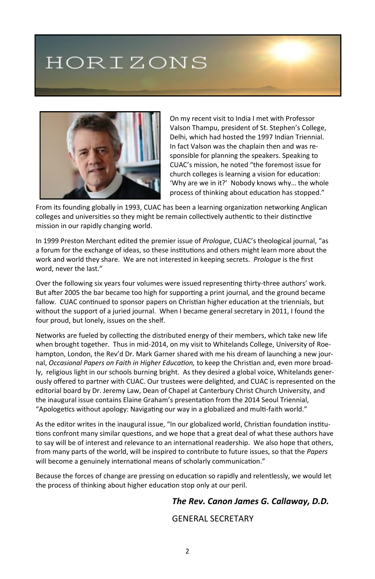# HORIZONS



On my recent visit to India I met with Professor Valson Thampu, president of St. Stephen's College, Delhi, which had hosted the 1997 Indian Triennial. In fact Valson was the chaplain then and was responsible for planning the speakers. Speaking to CUAC's mission, he noted "the foremost issue for church colleges is learning a vision for education: 'Why are we in it?' Nobody knows why… the whole process of thinking about education has stopped."

From its founding globally in 1993, CUAC has been a learning organization networking Anglican colleges and universities so they might be remain collectively authentic to their distinctive mission in our rapidly changing world.

In 1999 Preston Merchant edited the premier issue of *Prologue*, CUAC's theological journal, "as a forum for the exchange of ideas, so these institutions and others might learn more about the work and world they share. We are not interested in keeping secrets. *Prologue* is the first word, never the last."

Over the following six years four volumes were issued representing thirty-three authors' work. But after 2005 the bar became too high for supporting a print journal, and the ground became fallow. CUAC continued to sponsor papers on Christian higher education at the triennials, but without the support of a juried journal. When I became general secretary in 2011, I found the four proud, but lonely, issues on the shelf.

Networks are fueled by collecting the distributed energy of their members, which take new life when brought together. Thus in mid-2014, on my visit to Whitelands College, University of Roehampton, London, the Rev'd Dr. Mark Garner shared with me his dream of launching a new journal, *Occasional Papers on Faith in Higher Education,* to keep the Christian and, even more broadly, religious light in our schools burning bright. As they desired a global voice, Whitelands generously offered to partner with CUAC. Our trustees were delighted, and CUAC is represented on the editorial board by Dr. Jeremy Law, Dean of Chapel at Canterbury Christ Church University, and the inaugural issue contains Elaine Graham's presentation from the 2014 Seoul Triennial, "Apologetics without apology: Navigating our way in a globalized and multi-faith world."

As the editor writes in the inaugural issue, "In our globalized world, Christian foundation institutions confront many similar questions, and we hope that a great deal of what these authors have to say will be of interest and relevance to an international readership. We also hope that others, from many parts of the world, will be inspired to contribute to future issues, so that the *Papers* will become a genuinely international means of scholarly communication."

Because the forces of change are pressing on education so rapidly and relentlessly, we would let the process of thinking about higher education stop only at our peril.

#### *The Rev. Canon James G. Callaway, D.D.*

#### GENERAL SECRETARY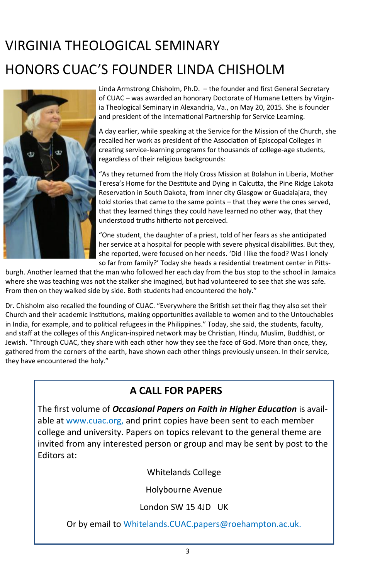## VIRGINIA THEOLOGICAL SEMINARY HONORS CUAC'S FOUNDER LINDA CHISHOLM



Linda Armstrong Chisholm, Ph.D. – the founder and first General Secretary of CUAC – was awarded an honorary Doctorate of Humane Letters by Virginia Theological Seminary in Alexandria, Va., on May 20, 2015. She is founder and president of the International Partnership for Service Learning.

A day earlier, while speaking at the Service for the Mission of the Church, she recalled her work as president of the Association of Episcopal Colleges in creating service-learning programs for thousands of college-age students, regardless of their religious backgrounds:

"As they returned from the Holy Cross Mission at Bolahun in Liberia, Mother Teresa's Home for the Destitute and Dying in Calcutta, the Pine Ridge Lakota Reservation in South Dakota, from inner city Glasgow or Guadalajara, they told stories that came to the same points – that they were the ones served, that they learned things they could have learned no other way, that they understood truths hitherto not perceived.

"One student, the daughter of a priest, told of her fears as she anticipated her service at a hospital for people with severe physical disabilities. But they, she reported, were focused on her needs. 'Did I like the food? Was I lonely so far from family?' Today she heads a residential treatment center in Pitts-

burgh. Another learned that the man who followed her each day from the bus stop to the school in Jamaica where she was teaching was not the stalker she imagined, but had volunteered to see that she was safe. From then on they walked side by side. Both students had encountered the holy."

Dr. Chisholm also recalled the founding of CUAC. "Everywhere the British set their flag they also set their Church and their academic institutions, making opportunities available to women and to the Untouchables in India, for example, and to political refugees in the Philippines." Today, she said, the students, faculty, and staff at the colleges of this Anglican-inspired network may be Christian, Hindu, Muslim, Buddhist, or Jewish. "Through CUAC, they share with each other how they see the face of God. More than once, they, gathered from the corners of the earth, have shown each other things previously unseen. In their service, they have encountered the holy."

### **A CALL FOR PAPERS**

The first volume of *Occasional Papers on Faith in Higher Education* is available at www.cuac.org, and print copies have been sent to each member college and university. Papers on topics relevant to the general theme are invited from any interested person or group and may be sent by post to the Editors at:

Whitelands College

Holybourne Avenue

London SW 15 4JD UK

Or by email to Whitelands.CUAC.papers@roehampton.ac.uk.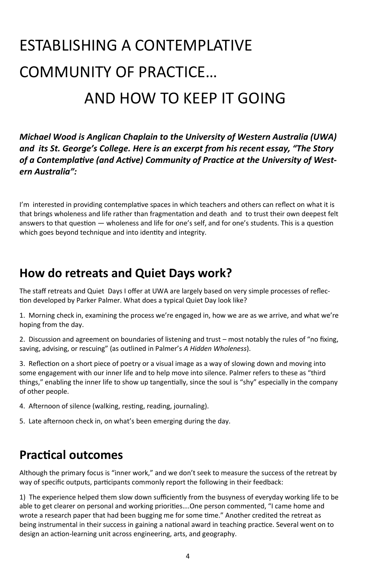# ESTABLISHING A CONTEMPLATIVE COMMUNITY OF PRACTICE… AND HOW TO KEEP IT GOING

*Michael Wood is Anglican Chaplain to the University of Western Australia (UWA) and its St. George's College. Here is an excerpt from his recent essay, "The Story of a Contemplative (and Active) Community of Practice at the University of Western Australia":*

I'm interested in providing contemplative spaces in which teachers and others can reflect on what it is that brings wholeness and life rather than fragmentation and death and to trust their own deepest felt answers to that question — wholeness and life for one's self, and for one's students. This is a question which goes beyond technique and into identity and integrity.

### **How do retreats and Quiet Days work?**

The staff retreats and Quiet Days I offer at UWA are largely based on very simple processes of reflection developed by Parker Palmer. What does a typical Quiet Day look like?

1. Morning check in, examining the process we're engaged in, how we are as we arrive, and what we're hoping from the day.

2. Discussion and agreement on boundaries of listening and trust – most notably the rules of "no fixing, saving, advising, or rescuing" (as outlined in Palmer's *A Hidden Wholeness*).

3. Reflection on a short piece of poetry or a visual image as a way of slowing down and moving into some engagement with our inner life and to help move into silence. Palmer refers to these as "third things," enabling the inner life to show up tangentially, since the soul is "shy" especially in the company of other people.

- 4. Afternoon of silence (walking, resting, reading, journaling).
- 5. Late afternoon check in, on what's been emerging during the day.

### **Practical outcomes**

Although the primary focus is "inner work," and we don't seek to measure the success of the retreat by way of specific outputs, participants commonly report the following in their feedback:

1) The experience helped them slow down sufficiently from the busyness of everyday working life to be able to get clearer on personal and working priorities….One person commented, "I came home and wrote a research paper that had been bugging me for some time." Another credited the retreat as being instrumental in their success in gaining a national award in teaching practice. Several went on to design an action-learning unit across engineering, arts, and geography.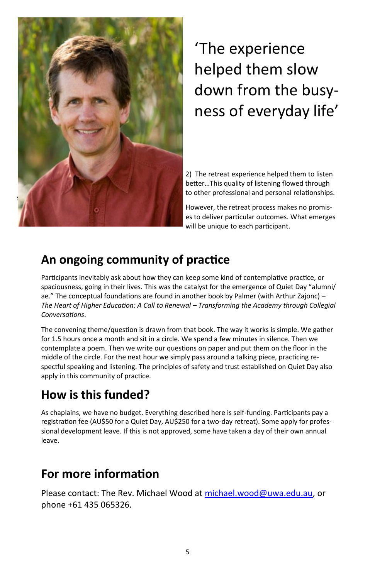

## 'The experience helped them slow down from the busyness of everyday life'

2) The retreat experience helped them to listen better…This quality of listening flowed through to other professional and personal relationships.

However, the retreat process makes no promises to deliver particular outcomes. What emerges will be unique to each participant.

### **An ongoing community of practice**

Participants inevitably ask about how they can keep some kind of contemplative practice, or spaciousness, going in their lives. This was the catalyst for the emergence of Quiet Day "alumni/ ae." The conceptual foundations are found in another book by Palmer (with Arthur Zajonc) – *The Heart of Higher Education: A Call to Renewal – Transforming the Academy through Collegial Conversations*.

The convening theme/question is drawn from that book. The way it works is simple. We gather for 1.5 hours once a month and sit in a circle. We spend a few minutes in silence. Then we contemplate a poem. Then we write our questions on paper and put them on the floor in the middle of the circle. For the next hour we simply pass around a talking piece, practicing respectful speaking and listening. The principles of safety and trust established on Quiet Day also apply in this community of practice.

### **How is this funded?**

As chaplains, we have no budget. Everything described here is self-funding. Participants pay a registration fee (AU\$50 for a Quiet Day, AU\$250 for a two-day retreat). Some apply for professional development leave. If this is not approved, some have taken a day of their own annual leave.

### **For more information**

Please contact: The Rev. Michael Wood at [michael.wood@uwa.edu.au,](mailto:michael.wood@uwa.edu.au) or phone +61 435 065326.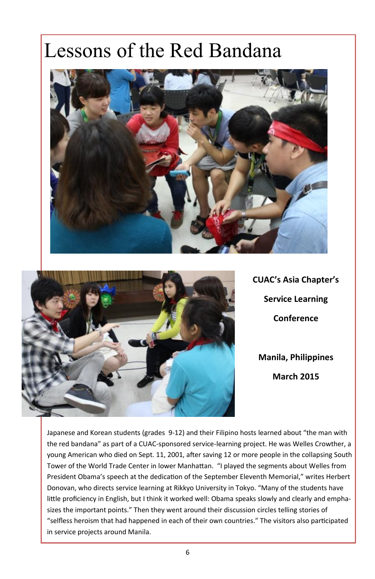# Lessons of the Red Bandana





**CUAC's Asia Chapter's Service Learning Conference Manila, Philippines March 2015**

Japanese and Korean students (grades 9-12) and their Filipino hosts learned about "the man with the red bandana" as part of a CUAC-sponsored service-learning project. He was Welles Crowther, a young American who died on Sept. 11, 2001, after saving 12 or more people in the collapsing South Tower of the World Trade Center in lower Manhattan. "I played the segments about Welles from President Obama's speech at the dedication of the September Eleventh Memorial," writes Herbert Donovan, who directs service learning at Rikkyo University in Tokyo. "Many of the students have little proficiency in English, but I think it worked well: Obama speaks slowly and clearly and emphasizes the important points." Then they went around their discussion circles telling stories of "selfless heroism that had happened in each of their own countries." The visitors also participated in service projects around Manila.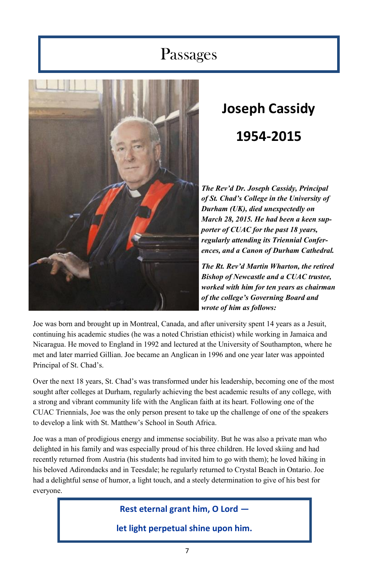### Passages



# **Joseph Cassidy 1954-2015**

*The Rev'd Dr. Joseph Cassidy, Principal of St. Chad's College in the University of Durham (UK), died unexpectedly on March 28, 2015. He had been a keen supporter of CUAC for the past 18 years, regularly attending its Triennial Conferences, and a Canon of Durham Cathedral.*

*The Rt. Rev'd Martin Wharton, the retired Bishop of Newcastle and a CUAC trustee, worked with him for ten years as chairman of the college's Governing Board and wrote of him as follows:*

Joe was born and brought up in Montreal, Canada, and after university spent 14 years as a Jesuit, continuing his academic studies (he was a noted Christian ethicist) while working in Jamaica and Nicaragua. He moved to England in 1992 and lectured at the University of Southampton, where he met and later married Gillian. Joe became an Anglican in 1996 and one year later was appointed Principal of St. Chad's.

Over the next 18 years, St. Chad's was transformed under his leadership, becoming one of the most sought after colleges at Durham, regularly achieving the best academic results of any college, with a strong and vibrant community life with the Anglican faith at its heart. Following one of the CUAC Triennials, Joe was the only person present to take up the challenge of one of the speakers to develop a link with St. Matthew's School in South Africa.

Joe was a man of prodigious energy and immense sociability. But he was also a private man who delighted in his family and was especially proud of his three children. He loved skiing and had recently returned from Austria (his students had invited him to go with them); he loved hiking in his beloved Adirondacks and in Teesdale; he regularly returned to Crystal Beach in Ontario. Joe had a delightful sense of humor, a light touch, and a steely determination to give of his best for everyone.

**Rest eternal grant him, O Lord —**

**let light perpetual shine upon him.**